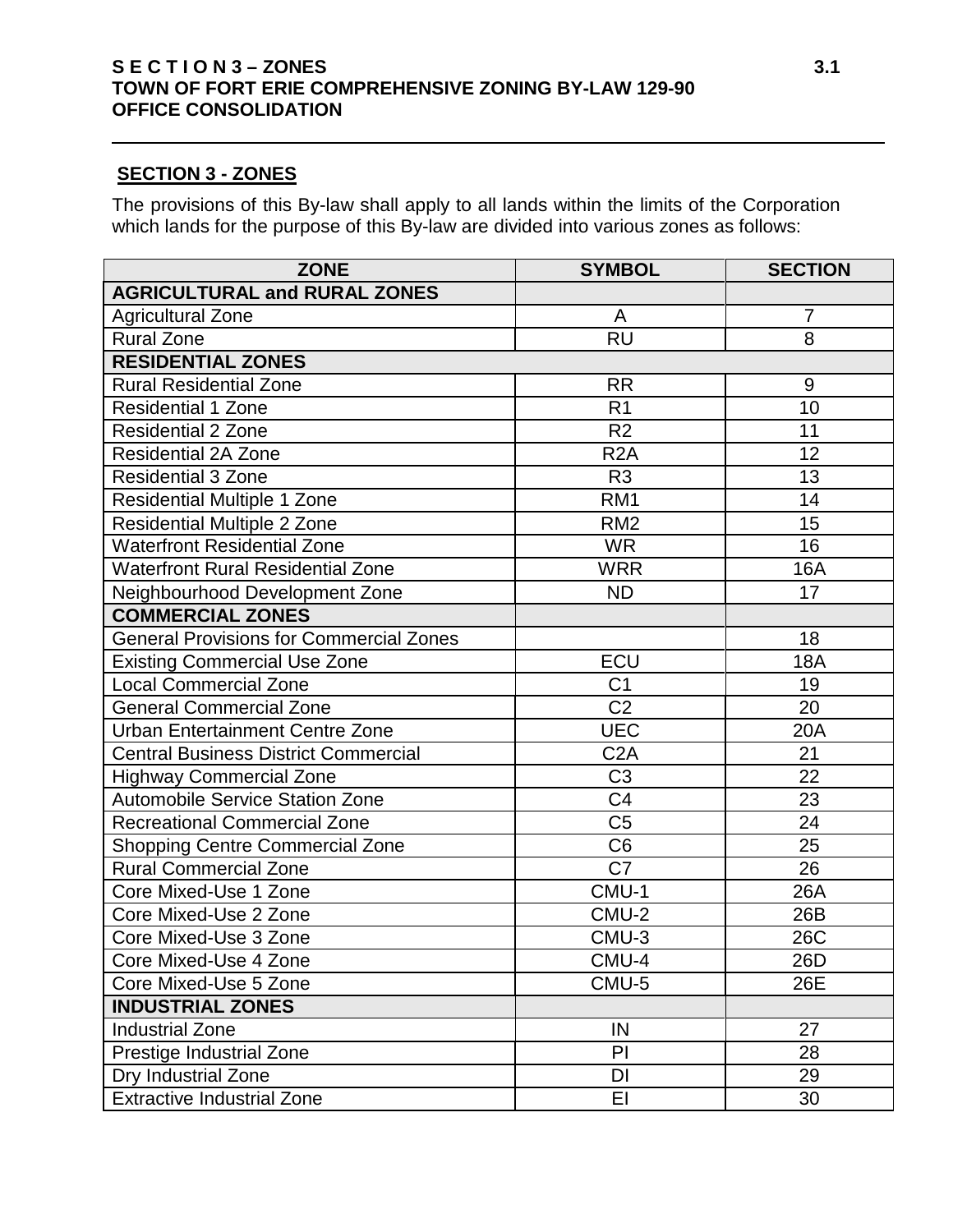## **S E C T I O N 3 – ZONES** 3.1 **TOWN OF FORT ERIE COMPREHENSIVE ZONING BY-LAW 129-90 OFFICE CONSOLIDATION**

## **SECTION 3 - ZONES**

The provisions of this By-law shall apply to all lands within the limits of the Corporation which lands for the purpose of this By-law are divided into various zones as follows:

| <b>ZONE</b>                                    | <b>SYMBOL</b>    | <b>SECTION</b> |
|------------------------------------------------|------------------|----------------|
| <b>AGRICULTURAL and RURAL ZONES</b>            |                  |                |
| <b>Agricultural Zone</b>                       | A                | 7              |
| <b>Rural Zone</b>                              | <b>RU</b>        | 8              |
| <b>RESIDENTIAL ZONES</b>                       |                  |                |
| <b>Rural Residential Zone</b>                  | <b>RR</b>        | 9              |
| <b>Residential 1 Zone</b>                      | R <sub>1</sub>   | 10             |
| <b>Residential 2 Zone</b>                      | R <sub>2</sub>   | 11             |
| <b>Residential 2A Zone</b>                     | R <sub>2</sub> A | 12             |
| <b>Residential 3 Zone</b>                      | R <sub>3</sub>   | 13             |
| <b>Residential Multiple 1 Zone</b>             | RM <sub>1</sub>  | 14             |
| <b>Residential Multiple 2 Zone</b>             | RM <sub>2</sub>  | 15             |
| <b>Waterfront Residential Zone</b>             | <b>WR</b>        | 16             |
| <b>Waterfront Rural Residential Zone</b>       | <b>WRR</b>       | <b>16A</b>     |
| Neighbourhood Development Zone                 | <b>ND</b>        | 17             |
| <b>COMMERCIAL ZONES</b>                        |                  |                |
| <b>General Provisions for Commercial Zones</b> |                  | 18             |
| <b>Existing Commercial Use Zone</b>            | ECU              | <b>18A</b>     |
| Local Commercial Zone                          | C <sub>1</sub>   | 19             |
| <b>General Commercial Zone</b>                 | C <sub>2</sub>   | 20             |
| Urban Entertainment Centre Zone                | <b>UEC</b>       | 20A            |
| <b>Central Business District Commercial</b>    | C <sub>2</sub> A | 21             |
| <b>Highway Commercial Zone</b>                 | C <sub>3</sub>   | 22             |
| <b>Automobile Service Station Zone</b>         | C <sub>4</sub>   | 23             |
| <b>Recreational Commercial Zone</b>            | C <sub>5</sub>   | 24             |
| <b>Shopping Centre Commercial Zone</b>         | C <sub>6</sub>   | 25             |
| <b>Rural Commercial Zone</b>                   | C <sub>7</sub>   | 26             |
| Core Mixed-Use 1 Zone                          | CMU-1            | 26A            |
| Core Mixed-Use 2 Zone                          | CMU-2            | 26B            |
| Core Mixed-Use 3 Zone                          | CMU-3            | 26C            |
| Core Mixed-Use 4 Zone                          | CMU-4            | 26D            |
| Core Mixed-Use 5 Zone                          | CMU-5            | 26E            |
| <b>INDUSTRIAL ZONES</b>                        |                  |                |
| <b>Industrial Zone</b>                         | IN               | 27             |
| Prestige Industrial Zone                       | PI               | 28             |
| Dry Industrial Zone                            | DI               | 29             |
| <b>Extractive Industrial Zone</b>              | EI               | 30             |